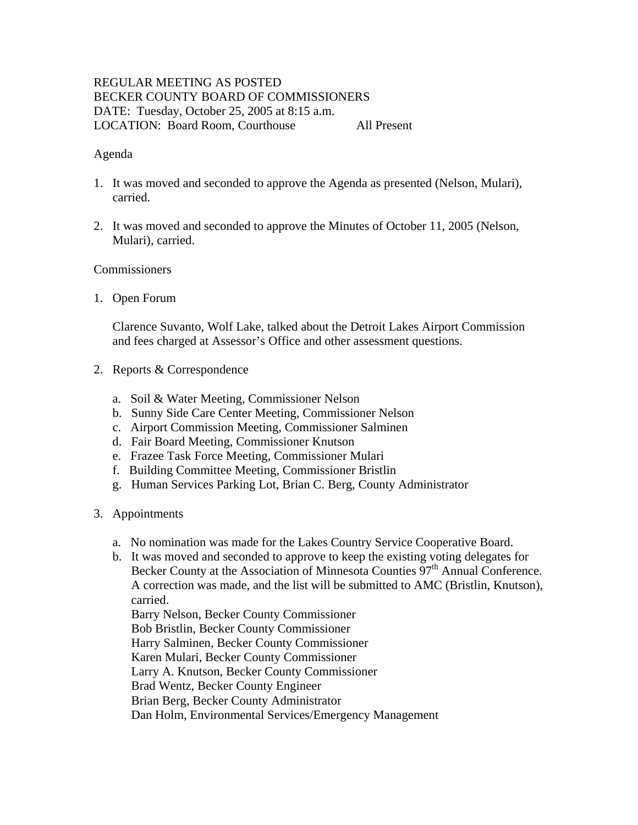# REGULAR MEETING AS POSTED BECKER COUNTY BOARD OF COMMISSIONERS DATE: Tuesday, October 25, 2005 at 8:15 a.m. LOCATION: Board Room, Courthouse All Present

#### Agenda

- 1. It was moved and seconded to approve the Agenda as presented (Nelson, Mulari), carried.
- 2. It was moved and seconded to approve the Minutes of October 11, 2005 (Nelson, Mulari), carried.

# **Commissioners**

1. Open Forum

Clarence Suvanto, Wolf Lake, talked about the Detroit Lakes Airport Commission and fees charged at Assessor's Office and other assessment questions.

- 2. Reports & Correspondence
	- a. Soil & Water Meeting, Commissioner Nelson
	- b. Sunny Side Care Center Meeting, Commissioner Nelson
	- c. Airport Commission Meeting, Commissioner Salminen
	- d. Fair Board Meeting, Commissioner Knutson
	- e. Frazee Task Force Meeting, Commissioner Mulari
	- f. Building Committee Meeting, Commissioner Bristlin
	- g. Human Services Parking Lot, Brian C. Berg, County Administrator
- 3. Appointments
	- a. No nomination was made for the Lakes Country Service Cooperative Board.
	- b. It was moved and seconded to approve to keep the existing voting delegates for Becker County at the Association of Minnesota Counties  $97<sup>th</sup>$  Annual Conference. A correction was made, and the list will be submitted to AMC (Bristlin, Knutson), carried.

 Barry Nelson, Becker County Commissioner Bob Bristlin, Becker County Commissioner Harry Salminen, Becker County Commissioner Karen Mulari, Becker County Commissioner Larry A. Knutson, Becker County Commissioner Brad Wentz, Becker County Engineer Brian Berg, Becker County Administrator Dan Holm, Environmental Services/Emergency Management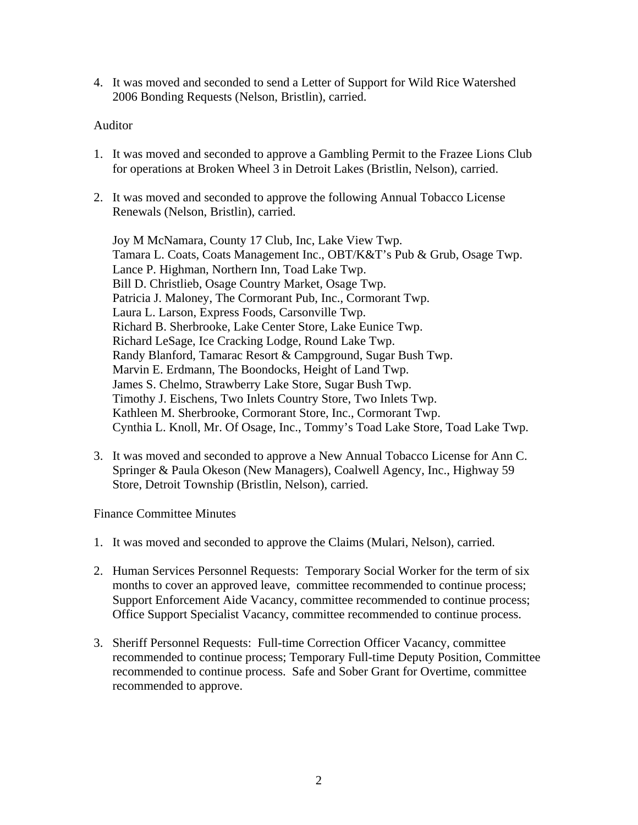4. It was moved and seconded to send a Letter of Support for Wild Rice Watershed 2006 Bonding Requests (Nelson, Bristlin), carried.

### Auditor

- 1. It was moved and seconded to approve a Gambling Permit to the Frazee Lions Club for operations at Broken Wheel 3 in Detroit Lakes (Bristlin, Nelson), carried.
- 2. It was moved and seconded to approve the following Annual Tobacco License Renewals (Nelson, Bristlin), carried.

Joy M McNamara, County 17 Club, Inc, Lake View Twp. Tamara L. Coats, Coats Management Inc., OBT/K&T's Pub & Grub, Osage Twp. Lance P. Highman, Northern Inn, Toad Lake Twp. Bill D. Christlieb, Osage Country Market, Osage Twp. Patricia J. Maloney, The Cormorant Pub, Inc., Cormorant Twp. Laura L. Larson, Express Foods, Carsonville Twp. Richard B. Sherbrooke, Lake Center Store, Lake Eunice Twp. Richard LeSage, Ice Cracking Lodge, Round Lake Twp. Randy Blanford, Tamarac Resort & Campground, Sugar Bush Twp. Marvin E. Erdmann, The Boondocks, Height of Land Twp. James S. Chelmo, Strawberry Lake Store, Sugar Bush Twp. Timothy J. Eischens, Two Inlets Country Store, Two Inlets Twp. Kathleen M. Sherbrooke, Cormorant Store, Inc., Cormorant Twp. Cynthia L. Knoll, Mr. Of Osage, Inc., Tommy's Toad Lake Store, Toad Lake Twp.

3. It was moved and seconded to approve a New Annual Tobacco License for Ann C. Springer & Paula Okeson (New Managers), Coalwell Agency, Inc., Highway 59 Store, Detroit Township (Bristlin, Nelson), carried.

Finance Committee Minutes

- 1. It was moved and seconded to approve the Claims (Mulari, Nelson), carried.
- 2. Human Services Personnel Requests: Temporary Social Worker for the term of six months to cover an approved leave, committee recommended to continue process; Support Enforcement Aide Vacancy, committee recommended to continue process; Office Support Specialist Vacancy, committee recommended to continue process.
- 3. Sheriff Personnel Requests: Full-time Correction Officer Vacancy, committee recommended to continue process; Temporary Full-time Deputy Position, Committee recommended to continue process. Safe and Sober Grant for Overtime, committee recommended to approve.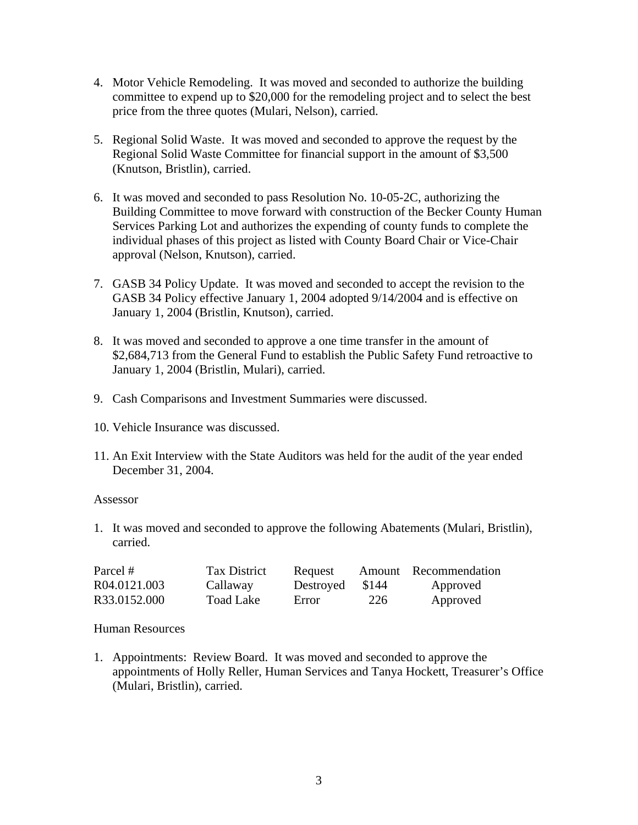- 4. Motor Vehicle Remodeling. It was moved and seconded to authorize the building committee to expend up to \$20,000 for the remodeling project and to select the best price from the three quotes (Mulari, Nelson), carried.
- 5. Regional Solid Waste. It was moved and seconded to approve the request by the Regional Solid Waste Committee for financial support in the amount of \$3,500 (Knutson, Bristlin), carried.
- 6. It was moved and seconded to pass Resolution No. 10-05-2C, authorizing the Building Committee to move forward with construction of the Becker County Human Services Parking Lot and authorizes the expending of county funds to complete the individual phases of this project as listed with County Board Chair or Vice-Chair approval (Nelson, Knutson), carried.
- 7. GASB 34 Policy Update. It was moved and seconded to accept the revision to the GASB 34 Policy effective January 1, 2004 adopted 9/14/2004 and is effective on January 1, 2004 (Bristlin, Knutson), carried.
- 8. It was moved and seconded to approve a one time transfer in the amount of \$2,684,713 from the General Fund to establish the Public Safety Fund retroactive to January 1, 2004 (Bristlin, Mulari), carried.
- 9. Cash Comparisons and Investment Summaries were discussed.
- 10. Vehicle Insurance was discussed.
- 11. An Exit Interview with the State Auditors was held for the audit of the year ended December 31, 2004.

#### Assessor

1. It was moved and seconded to approve the following Abatements (Mulari, Bristlin), carried.

| Parcel #     | <b>Tax District</b> | Request   |       | Amount Recommendation |
|--------------|---------------------|-----------|-------|-----------------------|
| R04.0121.003 | Callaway            | Destroyed | \$144 | Approved              |
| R33.0152.000 | Toad Lake           | Error     | 226   | Approved              |

Human Resources

1. Appointments: Review Board. It was moved and seconded to approve the appointments of Holly Reller, Human Services and Tanya Hockett, Treasurer's Office (Mulari, Bristlin), carried.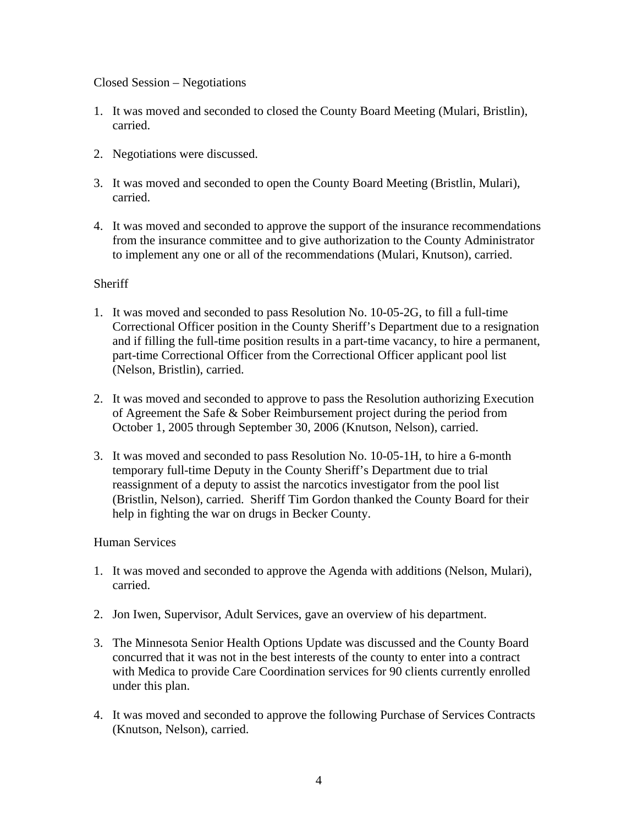### Closed Session – Negotiations

- 1. It was moved and seconded to closed the County Board Meeting (Mulari, Bristlin), carried.
- 2. Negotiations were discussed.
- 3. It was moved and seconded to open the County Board Meeting (Bristlin, Mulari), carried.
- 4. It was moved and seconded to approve the support of the insurance recommendations from the insurance committee and to give authorization to the County Administrator to implement any one or all of the recommendations (Mulari, Knutson), carried.

# **Sheriff**

- 1. It was moved and seconded to pass Resolution No. 10-05-2G, to fill a full-time Correctional Officer position in the County Sheriff's Department due to a resignation and if filling the full-time position results in a part-time vacancy, to hire a permanent, part-time Correctional Officer from the Correctional Officer applicant pool list (Nelson, Bristlin), carried.
- 2. It was moved and seconded to approve to pass the Resolution authorizing Execution of Agreement the Safe & Sober Reimbursement project during the period from October 1, 2005 through September 30, 2006 (Knutson, Nelson), carried.
- 3. It was moved and seconded to pass Resolution No. 10-05-1H, to hire a 6-month temporary full-time Deputy in the County Sheriff's Department due to trial reassignment of a deputy to assist the narcotics investigator from the pool list (Bristlin, Nelson), carried. Sheriff Tim Gordon thanked the County Board for their help in fighting the war on drugs in Becker County.

#### Human Services

- 1. It was moved and seconded to approve the Agenda with additions (Nelson, Mulari), carried.
- 2. Jon Iwen, Supervisor, Adult Services, gave an overview of his department.
- 3. The Minnesota Senior Health Options Update was discussed and the County Board concurred that it was not in the best interests of the county to enter into a contract with Medica to provide Care Coordination services for 90 clients currently enrolled under this plan.
- 4. It was moved and seconded to approve the following Purchase of Services Contracts (Knutson, Nelson), carried.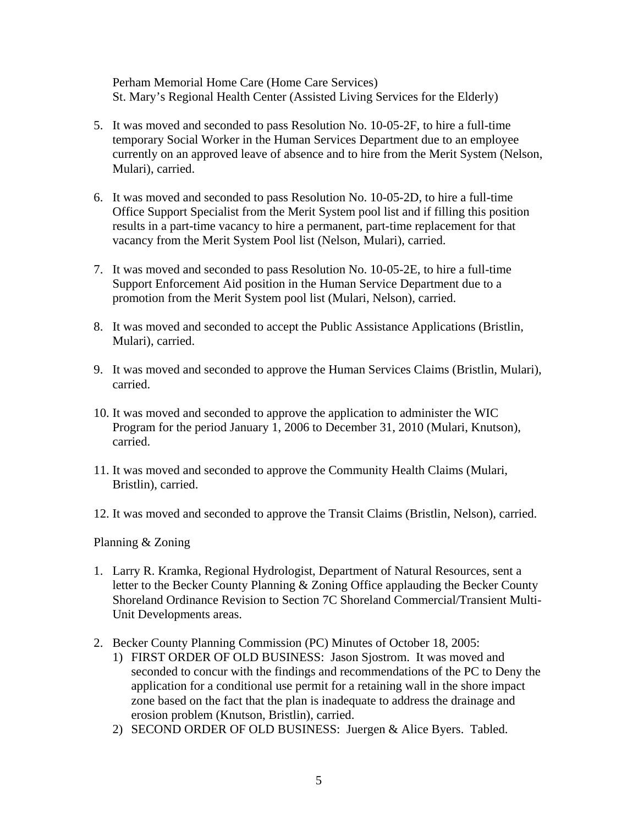Perham Memorial Home Care (Home Care Services) St. Mary's Regional Health Center (Assisted Living Services for the Elderly)

- 5. It was moved and seconded to pass Resolution No. 10-05-2F, to hire a full-time temporary Social Worker in the Human Services Department due to an employee currently on an approved leave of absence and to hire from the Merit System (Nelson, Mulari), carried.
- 6. It was moved and seconded to pass Resolution No. 10-05-2D, to hire a full-time Office Support Specialist from the Merit System pool list and if filling this position results in a part-time vacancy to hire a permanent, part-time replacement for that vacancy from the Merit System Pool list (Nelson, Mulari), carried.
- 7. It was moved and seconded to pass Resolution No. 10-05-2E, to hire a full-time Support Enforcement Aid position in the Human Service Department due to a promotion from the Merit System pool list (Mulari, Nelson), carried.
- 8. It was moved and seconded to accept the Public Assistance Applications (Bristlin, Mulari), carried.
- 9. It was moved and seconded to approve the Human Services Claims (Bristlin, Mulari), carried.
- 10. It was moved and seconded to approve the application to administer the WIC Program for the period January 1, 2006 to December 31, 2010 (Mulari, Knutson), carried.
- 11. It was moved and seconded to approve the Community Health Claims (Mulari, Bristlin), carried.
- 12. It was moved and seconded to approve the Transit Claims (Bristlin, Nelson), carried.

Planning & Zoning

- 1. Larry R. Kramka, Regional Hydrologist, Department of Natural Resources, sent a letter to the Becker County Planning & Zoning Office applauding the Becker County Shoreland Ordinance Revision to Section 7C Shoreland Commercial/Transient Multi-Unit Developments areas.
- 2. Becker County Planning Commission (PC) Minutes of October 18, 2005:
	- 1) FIRST ORDER OF OLD BUSINESS: Jason Sjostrom. It was moved and seconded to concur with the findings and recommendations of the PC to Deny the application for a conditional use permit for a retaining wall in the shore impact zone based on the fact that the plan is inadequate to address the drainage and erosion problem (Knutson, Bristlin), carried.
	- 2) SECOND ORDER OF OLD BUSINESS: Juergen & Alice Byers. Tabled.